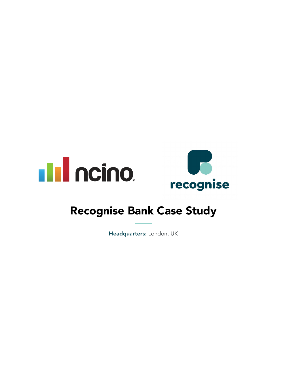



# Recognise Bank Case Study

Headquarters: London, UK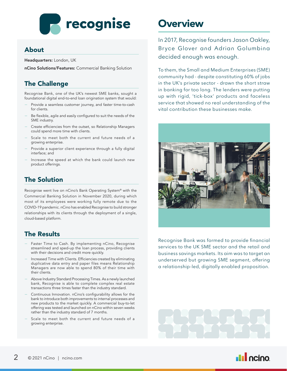# **Pecognise**

#### About

Headquarters: London, UK

nCino Solutions/Features: Commercial Banking Solution

#### The Challenge

Recognise Bank, one of the UK's newest SME banks, sought a foundational digital end-to-end loan origination system that would:

- Provide a seamless customer journey, and faster time-to-cash for clients.
- Be flexible, agile and easily configured to suit the needs of the SME industry.
- Create efficiencies from the outset, so Relationship Managers could spend more time with clients.
- Scale to meet both the current and future needs of a growing enterprise.
- Provide a superior client experience through a fully digital interface; and
- Increase the speed at which the bank could launch new product offerings.

#### The Solution

Recognise went live on nCino's Bank Operating System® with the Commercial Banking Solution in November 2020, during which most of its employees were working fully remote due to the COVID-19 pandemic. nCino has enabled Recognise to build stronger relationships with its clients through the deployment of a single, cloud-based platform.

#### The Results

- Faster Time to Cash. By implementing nCino, Recognise streamlined and sped-up the loan process, providing clients with their decisions and credit more quickly.
- Increased Time with Clients. Efficiencies created by eliminating duplicative data entry and paper files means Relationship Managers are now able to spend 80% of their time with their clients.
- Above Industry Standard Processing Times. As a newly launched bank, Recognise is able to complete complex real estate transactions three times faster than the industry standard.
- Continuous Innovation. nCino's configurability allows for the bank to introduce both improvements to internal processes and new products to the market quickly. A commercial buy-to-let offering was tested and launched on nCino within seven weeks rather than the industry standard of 7 months.
- Scale to meet both the current and future needs of a growing enterprise.

## **Overview**

In 2017, Recognise founders Jason Oakley, Bryce Glover and Adrian Golumbina decided enough was enough.

To them, the Small and Medium Enterprises (SME) community had - despite constituting 60% of jobs in the UK's private sector - drawn the short straw in banking for too long. The lenders were putting up with rigid, 'tick-box' products and faceless service that showed no real understanding of the vital contribution these businesses make.



Recognise Bank was formed to provide financial services to the UK SME sector and the retail and business savings markets. Its aim was to target an underserved but growing SME segment, offering a relationship-led, digitally enabled proposition.

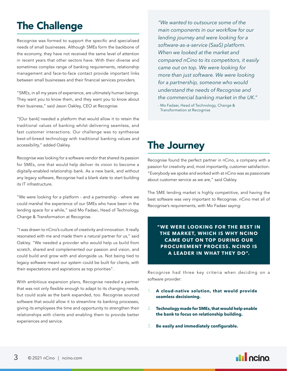# The Challenge

Recognise was formed to support the specific and specialised needs of small businesses. Although SMEs form the backbone of the economy, they have not received the same level of attention in recent years that other sectors have. With their diverse and sometimes complex range of banking requirements, relationship management and face-to-face contact provide important links between small businesses and their financial services providers.

"SMEs, in all my years of experience, are ultimately human beings. They want you to know them, and they want you to know about their business," said Jason Oakley, CEO at Recognise.

"[Our bank] needed a platform that would allow it to retain the traditional values of banking whilst delivering seamless, and fast customer interactions. Our challenge was to synthesise best-of-breed technology with traditional banking values and accessibility," added Oakley.

Recognise was looking for a software vendor that shared its passion for SMEs, one that would help deliver its vision to become a digitally-enabled relationship bank. As a new bank, and without any legacy software, Recognise had a blank slate to start building its IT infrastructure.

"We were looking for a platform - and a partnership - where we could marshal the experience of our SMEs who have been in the lending space for a while," said Mo Fadaei, Head of Technology, Change & Transformation at Recognise.

"I was drawn to nCino's culture of creativity and innovation. It really resonated with me and made them a natural partner for us," said Oakley. "We needed a provider who would help us build from scratch, shared and complemented our passion and vision, and could build and grow with and alongside us. Not being tied to legacy software meant our system could be built for clients, with their expectations and aspirations as top priorities".

With ambitious expansion plans, Recognise needed a partner that was not only flexible enough to adapt to its changing needs, but could scale as the bank expanded, too. Recognise sourced software that would allow it to streamline its banking processes, giving its employees the time and opportunity to strengthen their relationships with clients and enabling them to provide better experiences and service.

*"We wanted to outsource some of the main components in our workflow for our lending journey and were looking for a software-as-a-service (SaaS) platform. When we looked at the market and compared nCino to its competitors, it easily came out on top. We were looking for more than just software. We were looking for a partnership, someone who would understand the needs of Recognise and the commercial banking market in the UK."*

*-* Mo Fadaei, Head of Technology, Change & Transformation at Recognise

### The Journey

Recognise found the perfect partner in nCino, a company with a passion for creativity and, most importantly, customer satisfaction. "Everybody we spoke and worked with at nCino was as passionate about customer service as we are," said Oakley.

The SME lending market is highly competitive, and having the best software was very important to Recognise. nCino met all of Recognise's requirements, with Mo Fadaei saying:

#### **"WE WERE LOOKING FOR THE BEST IN THE MARKET, WHICH IS WHY NCINO CAME OUT ON TOP DURING OUR PROCUREMENT PROCESS. NCINO IS A LEADER IN WHAT THEY DO".**

Recognise had three key criteria when deciding on a software provider:

- 1. **A cloud-native solution, that would provide seamless decisioning.**
- 2. **Technology made for SMEs, that would help enable the bank to focus on relationship building.**
- 3. **Be easily and immediately configurable.**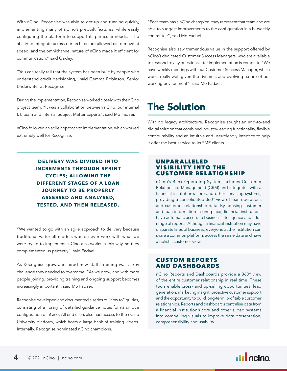With nCino, Recognise was able to get up and running quickly, implementing many of nCino's prebuilt features, while easily configuring the platform to support its particular needs. "The ability to integrate across our architecture allowed us to move at speed, and the omnichannel nature of nCino made it efficient for communication," said Oakley.

"You can really tell that the system has been built by people who understand credit decisioning," said Gemma Robinson, Senior Underwriter at Recognise.

During the implementation, Recognise worked closely with the nCino project team. "It was a collaboration between nCino, our internal I.T. team and internal Subject Matter Experts", said Mo Fadaei.

nCino followed an agile approach to implementation, which worked extremely well for Recognise.

> **DELIVERY WAS DIVIDED INTO INCREMENTS THROUGH SPRINT CYCLES; ALLOWING THE DIFFERENT STAGES OF A LOAN JOURNEY TO BE PROPERLY ASSESSED AND ANALYSED, TESTED, AND THEN RELEASED.**

"We wanted to go with an agile approach to delivery because traditional waterfall models would never work with what we were trying to implement. nCino also works in this way, so they complemented us perfectly", said Fadaei.

As Recognise grew and hired new staff, training was a key challenge they needed to overcome. "As we grow, and with more people joining, providing training and ongoing support becomes increasingly important", said Mo Fadaei.

Recognise developed and documented a series of "how to" guides, consisting of a library of detailed guidance notes for its unique configuration of nCino. All end users also had access to the nCino University platform, which hosts a large bank of training videos. Internally, Recognise nominated nCino champions.

"Each team has a nCino champion; they represent that team and are able to suggest improvements to the configuration in a bi-weekly committee", said Mo Fadaei.

Recognise also saw tremendous value in the support offered by nCino's dedicated Customer Success Managers, who are available to respond to any questions after implementation is complete."We have weekly meetings with our Customer Success Manager, which works really well given the dynamic and evolving nature of our working environment", said Mo Fadaei.

# The Solution

With no legacy architecture, Recognise sought an end-to-end digital solution that combined industry-leading functionality, flexible configurability and an intuitive and user-friendly interface to help it offer the best service to its SME clients.

#### UNPAR ALLELED **VISIBILITY INTO THE** CUSTOMER RELATIONSHIP

nCino's Bank Operating System includes Customer Relationship Management (CRM) and integrates with a financial institution's core and other servicing systems, providing a consolidated 360° view of loan operations and customer relationship data. By housing customer and loan information in one place, financial institutions have automatic access to business intelligence and a full range of reports. Although a financial institution may have disparate lines of business, everyone at the institution can share a common platform, access the same data and have a holistic customer view.

#### CUSTOM REPORTS AND DASHBOARDS

nCino Reports and Dashboards provide a 360° view of the entire customer relationship in real time. These tools enable cross- and up-selling opportunities, lead generation, marketing insight, proactive customer support and the opportunity to build long-term, profitable customer relationships. Reports and dashboards centralise data from a financial institution's core and other siloed systems into compelling visuals to improve data presentation, comprehensibility and usability.

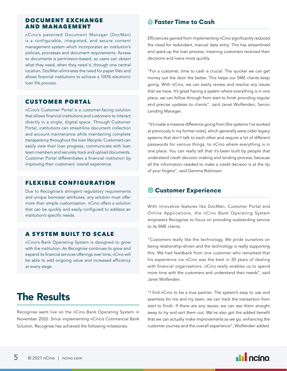#### DOCUMENT EXCHANGE AND MANAGEMENT

nCino's patented Document Manager (DocMan) is a configurable, integrated, and secure content management system which incorporates an institution's policies, processes and document requirements. Access to documents is permission-based, so users can obtain what they need, when they need it, through one central location. DocMan eliminates the need for paper files and allows financial institutions to achieve a 100% electronic loan file process.

#### CUSTOMER PORTAL

nCino's Customer Portal is a customer-facing solution that allows financial institutions and customers to interact directly in a single, digital space. Through Customer Portal, institutions can streamline document collection and account maintenance while maintaining complete transparency throughout the loan lifecycle. Customers can easily view their loan progress, communicate with loan team members and securely track and upload documents. Customer Portal differentiates a financial institution by improving their customers' overall experience.

#### FLEXIBLE CONFIGURATION

Due to Recognise's stringent regulatory requirements and unique borrower attributes, any solution must offer more than simple customisation. nCino offers a solution that can be quickly and easily configured to address an institution's specific needs.

#### A SYSTEM BUILT TO SCALE

nCino's Bank Operating System is designed to grow with the institution. As Recognise continues to grow and expand its financial services offerings over time, nCino will be able to add ongoing value and increased efficiency at every stage.

### The Results

Recognise went live on the nCino Bank Operating System in November 2020. Since implementing nCino's Commercial Bank Solution, Recognise has achieved the following milestones:

#### **Faster Time to Cash**

Efficiencies gained from implementing nCino significantly reduced the need for redundant, manual data entry. This has streamlined and sped-up the loan process, meaning customers received their decisions and loans more quickly.

"For a customer, time to cash is crucial. The quicker we can get money out the door the better. This helps our SME clients keep going. With nCino, we can easily review and resolve any issues that we have. It's great having a system where everything is in one place, we can follow through from start to finish providing regular and precise updates to clients", said Janet Wolfenden, Senior Lending Manager.

"It's made a massive difference going from [the systems I've worked at previously in my former roles], which generally were older legacy systems that don't talk to each other and require a lot of different passwords for various things, to nCino where everything is in one place. You can really tell that it's been built by people that understand credit decision making and lending process, because all the information needed to make a credit decision is at the tip of your fingers", said Gemma Robinson.

#### **Customer Experience**

With innovative features like DocMan, Customer Portal and Online Applications, the nCino Bank Operating System empowers Recognise to focus on providing outstanding service to its SME clients.

"Customers really like the technology. We pride ourselves on being relationship-driven and the technology is really supporting this. We had feedback from one customer who remarked that his experience via nCino was the best in 30 years of dealing with financial organisations. nCino really enables us to spend more time with the customers and understand their needs", said Janet Wolfenden.

"I find nCino to be a true partner. The system's easy to use and seamless for me and my team, we can track the transaction from start to finish. If there are any issues, we can see them straight away to try and sort them out. We've also got the added benefit that we can actually make improvements as we go, enhancing the customer journey and the overall experience", Wolfenden added.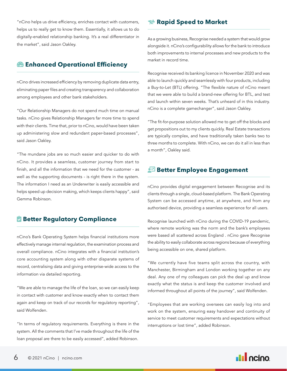"nCino helps us drive efficiency, enriches contact with customers, helps us to really get to know them. Essentially, it allows us to do digitally-enabled relationship banking. It's a real differentiator in the market", said Jason Oakley.

#### **Enhanced Operational Efficiency**

nCino drives increased efficiency by removing duplicate data entry, eliminating paper files and creating transparency and collaboration among employees and other bank stakeholders.

"Our Relationship Managers do not spend much time on manual tasks. nCino gives Relationship Managers far more time to spend with their clients. Time that, prior to nCino, would have been taken up administering slow and redundant paper-based processes", said Jason Oakley.

"The mundane jobs are so much easier and quicker to do with nCino. It provides a seamless, customer journey from start to finish, and all the information that we need for the customer - as well as the supporting documents - is right there in the system. The information I need as an Underwriter is easily accessible and helps speed up decision making, which keeps clients happy", said Gemma Robinson.

#### **Better Regulatory Compliance**

nCino's Bank Operating System helps financial institutions more effectively manage internal regulation, the examination process and overall compliance. nCino integrates with a financial institution's core accounting system along with other disparate systems of record, centralising data and giving enterprise-wide access to the information via detailed reporting.

"We are able to manage the life of the loan, so we can easily keep in contact with customer and know exactly when to contact them again and keep on track of our records for regulatory reporting", said Wolfenden.

"In terms of regulatory requirements. Everything is there in the system. All the comments that I've made throughout the life of the loan proposal are there to be easily accessed", added Robinson.

#### **Rapid Speed to Market**

As a growing business, Recognise needed a system that would grow alongside it. nCino's configurability allows for the bank to introduce both improvements to internal processes and new products to the market in record time.

Recognise received its banking licence in November 2020 and was able to launch quickly and seamlessly with four products, including a Buy-to-Let (BTL) offering. "The flexible nature of nCino meant that we were able to build a brand-new offering for BTL, and test and launch within seven weeks. That's unheard of in this industry. nCino is a complete gamechanger", said Jason Oakley.

"The fit-for-purpose solution allowed me to get off the blocks and get propositions out to my clients quickly. Real Estate transactions are typically complex, and have traditionally taken banks two to three months to complete. With nCino, we can do it all in less than a month", Oakley said.

#### **Better Employee Engagement**

nCino provides digital engagement between Recognise and its clients through a single, cloud-based platform. The Bank Operating System can be accessed anytime, at anywhere, and from any authorised device, providing a seamless experience for all users.

Recognise launched with nCino during the COVID-19 pandemic, where remote working was the norm and the bank's employees were based all scattered across England . nCino gave Recognise the ability to easily collaborate across regions because of everything being accessible on one, shared platform.

"We currently have five teams split across the country, with Manchester, Birmingham and London working together on any deal. Any one of my colleagues can pick the deal up and know exactly what the status is and keep the customer involved and informed throughout all points of the journey", said Wolfenden.

"Employees that are working oversees can easily log into and work on the system, ensuring easy handover and continuity of service to meet customer requirements and expectations without interruptions or lost time", added Robinson.